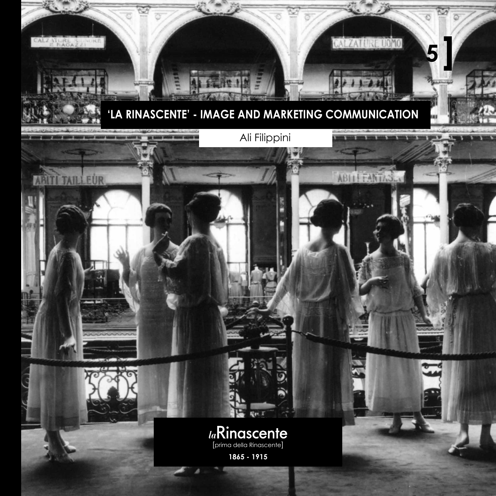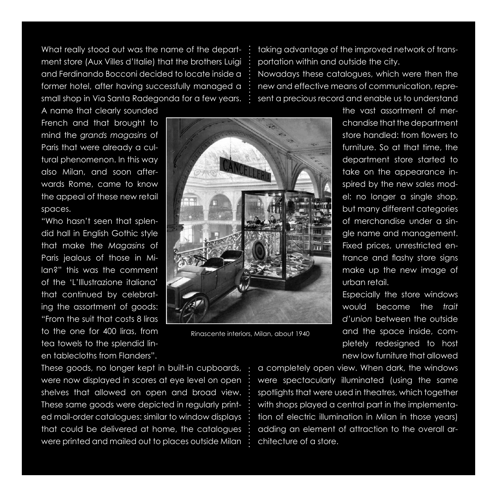What really stood out was the name of the department store (Aux Villes d'Italie) that the brothers Luigi and Ferdinando Bocconi decided to locate inside a former hotel, after having successfully managed a small shop in Via Santa Radegonda for a few years.

taking advantage of the improved network of transportation within and outside the city. Nowadays these catalogues, which were then the new and effective means of communication, represent a precious record and enable us to understand

A name that clearly sounded French and that brought to mind the *grands magasins* of Paris that were already a cultural phenomenon. In this way also Milan, and soon afterwards Rome, came to know the appeal of these new retail spaces.

"Who hasn't seen that splendid hall in English Gothic style that make the *Magasins* of Paris jealous of those in Milan?" this was the comment of the 'L'Illustrazione italiana' that continued by celebrating the assortment of goods: "From the suit that costs 8 liras to the one for 400 liras, from tea towels to the splendid linen tablecloths from Flanders".



Rinascente interiors, Milan, about 1940

the vast assortment of merchandise that the department store handled: from flowers to furniture. So at that time, the department store started to take on the appearance inspired by the new sales model: no longer a single shop, but many different categories of merchandise under a single name and management. Fixed prices, unrestricted entrance and flashy store signs make up the new image of urban retail.

Especially the store windows would become the *trait d'union* between the outside and the space inside, completely redesigned to host new low furniture that allowed

These goods, no longer kept in built-in cupboards, were now displayed in scores at eye level on open shelves that allowed on open and broad view. These same goods were depicted in regularly printed mail-order catalogues: similar to window displays that could be delivered at home, the catalogues were printed and mailed out to places outside Milan

a completely open view. When dark, the windows were spectacularly illuminated (using the same spotlights that were used in theatres, which together with shops played a central part in the implementation of electric illumination in Milan in those years) adding an element of attraction to the overall architecture of a store.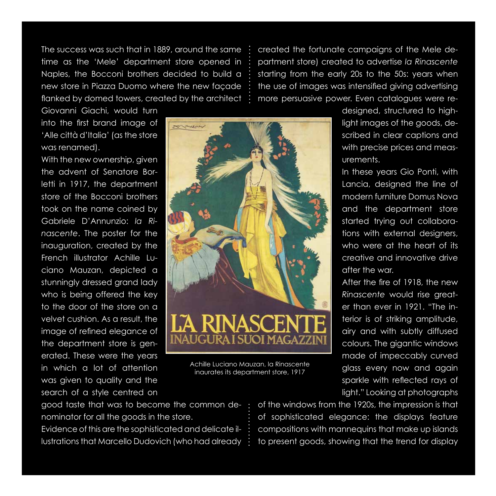The success was such that in 1889, around the same time as the 'Mele' department store opened in Naples, the Bocconi brothers decided to build a new store in Piazza Duomo where the new façade flanked by domed towers, created by the architect

created the fortunate campaigns of the Mele department store) created to advertise *la Rinascente* starting from the early 20s to the 50s: years when the use of images was intensified giving advertising more persuasive power. Even catalogues were re-

Giovanni Giachi, would turn into the first brand image of 'Alle città d'Italia' (as the store was renamed).

With the new ownership, given the advent of Senatore Borletti in 1917, the department store of the Bocconi brothers took on the name coined by Gabriele D'Annunzio: *la Rinascente*. The poster for the inauguration, created by the French illustrator Achille Luciano Mauzan, depicted a stunningly dressed grand lady who is being offered the key to the door of the store on a velvet cushion. As a result, the image of refined elegance of the department store is generated. These were the years in which a lot of attention was given to quality and the search of a style centred on



Achille Luciano Mauzan, la Rinascente inaurates its department store, 1917

designed, structured to highlight images of the goods, described in clear captions and with precise prices and measurements.

In these years Gio Ponti, with Lancia, designed the line of modern furniture Domus Nova and the department store started trying out collaborations with external designers, who were at the heart of its creative and innovative drive after the war.

After the fire of 1918, the new *Rinascente* would rise greater than ever in 1921. "The interior is of striking amplitude, airy and with subtly diffused colours. The gigantic windows made of impeccably curved glass every now and again sparkle with reflected rays of light." Looking at photographs

good taste that was to become the common denominator for all the goods in the store.

Evidence of this are the sophisticated and delicate illustrations that Marcello Dudovich (who had already of the windows from the 1920s, the impression is that of sophisticated elegance: the displays feature compositions with mannequins that make up islands to present goods, showing that the trend for display